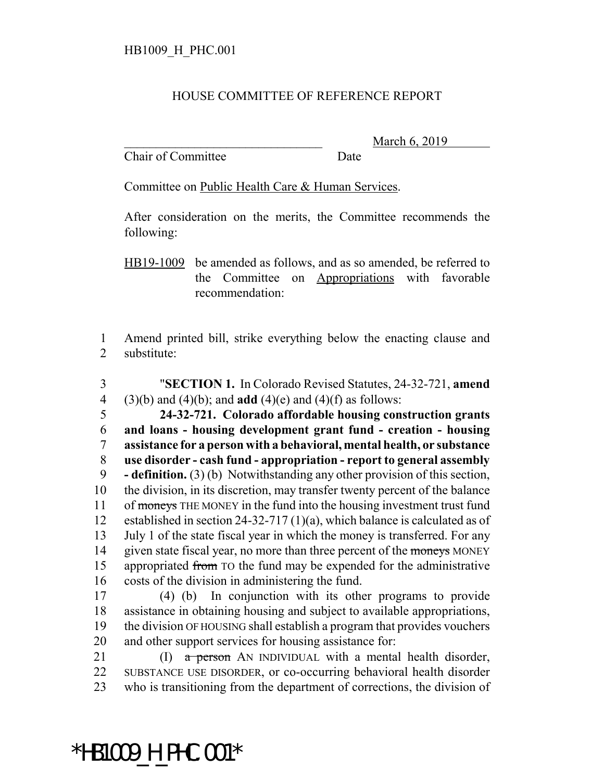## HOUSE COMMITTEE OF REFERENCE REPORT

Chair of Committee Date

March 6, 2019

Committee on Public Health Care & Human Services.

After consideration on the merits, the Committee recommends the following:

HB19-1009 be amended as follows, and as so amended, be referred to the Committee on Appropriations with favorable recommendation:

1 Amend printed bill, strike everything below the enacting clause and 2 substitute:

- 3 "**SECTION 1.** In Colorado Revised Statutes, 24-32-721, **amend** 4 (3)(b) and (4)(b); and **add** (4)(e) and (4)(f) as follows: 5 **24-32-721. Colorado affordable housing construction grants** 6 **and loans - housing development grant fund - creation - housing** 7 **assistance for a person with a behavioral, mental health, or substance** 8 **use disorder - cash fund - appropriation - report to general assembly**  9 **- definition.** (3) (b) Notwithstanding any other provision of this section, 10 the division, in its discretion, may transfer twenty percent of the balance 11 of moneys THE MONEY in the fund into the housing investment trust fund 12 established in section 24-32-717 (1)(a), which balance is calculated as of 13 July 1 of the state fiscal year in which the money is transferred. For any 14 given state fiscal year, no more than three percent of the moneys MONEY 15 appropriated from TO the fund may be expended for the administrative 16 costs of the division in administering the fund.
- 17 (4) (b) In conjunction with its other programs to provide 18 assistance in obtaining housing and subject to available appropriations, 19 the division OF HOUSING shall establish a program that provides vouchers 20 and other support services for housing assistance for:
- 21 (I)  $\alpha$  person AN INDIVIDUAL with a mental health disorder, 22 SUBSTANCE USE DISORDER, or co-occurring behavioral health disorder 23 who is transitioning from the department of corrections, the division of

\*HB1009\_H\_PHC.001\*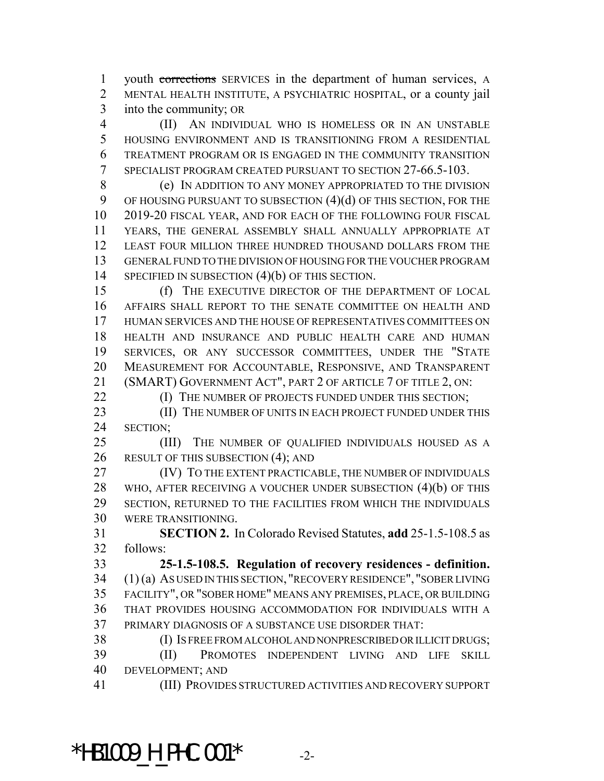youth corrections SERVICES in the department of human services, A MENTAL HEALTH INSTITUTE, A PSYCHIATRIC HOSPITAL, or a county jail into the community; OR

 (II) AN INDIVIDUAL WHO IS HOMELESS OR IN AN UNSTABLE HOUSING ENVIRONMENT AND IS TRANSITIONING FROM A RESIDENTIAL TREATMENT PROGRAM OR IS ENGAGED IN THE COMMUNITY TRANSITION SPECIALIST PROGRAM CREATED PURSUANT TO SECTION 27-66.5-103.

 (e) IN ADDITION TO ANY MONEY APPROPRIATED TO THE DIVISION 9 OF HOUSING PURSUANT TO SUBSECTION (4)(d) OF THIS SECTION, FOR THE 2019-20 FISCAL YEAR, AND FOR EACH OF THE FOLLOWING FOUR FISCAL YEARS, THE GENERAL ASSEMBLY SHALL ANNUALLY APPROPRIATE AT LEAST FOUR MILLION THREE HUNDRED THOUSAND DOLLARS FROM THE GENERAL FUND TO THE DIVISION OF HOUSING FOR THE VOUCHER PROGRAM 14 SPECIFIED IN SUBSECTION (4)(b) OF THIS SECTION.

 (f) THE EXECUTIVE DIRECTOR OF THE DEPARTMENT OF LOCAL AFFAIRS SHALL REPORT TO THE SENATE COMMITTEE ON HEALTH AND HUMAN SERVICES AND THE HOUSE OF REPRESENTATIVES COMMITTEES ON HEALTH AND INSURANCE AND PUBLIC HEALTH CARE AND HUMAN SERVICES, OR ANY SUCCESSOR COMMITTEES, UNDER THE "STATE MEASUREMENT FOR ACCOUNTABLE, RESPONSIVE, AND TRANSPARENT (SMART) GOVERNMENT ACT", PART 2 OF ARTICLE 7 OF TITLE 2, ON:

**(I) THE NUMBER OF PROJECTS FUNDED UNDER THIS SECTION;** 

23 (II) THE NUMBER OF UNITS IN EACH PROJECT FUNDED UNDER THIS SECTION;

 (III) THE NUMBER OF QUALIFIED INDIVIDUALS HOUSED AS A 26 RESULT OF THIS SUBSECTION (4); AND

**(IV)** TO THE EXTENT PRACTICABLE, THE NUMBER OF INDIVIDUALS WHO, AFTER RECEIVING A VOUCHER UNDER SUBSECTION (4)(b) OF THIS SECTION, RETURNED TO THE FACILITIES FROM WHICH THE INDIVIDUALS WERE TRANSITIONING.

 **SECTION 2.** In Colorado Revised Statutes, **add** 25-1.5-108.5 as follows:

 **25-1.5-108.5. Regulation of recovery residences - definition.** (1) (a) AS USED IN THIS SECTION, "RECOVERY RESIDENCE", "SOBER LIVING FACILITY", OR "SOBER HOME" MEANS ANY PREMISES, PLACE, OR BUILDING THAT PROVIDES HOUSING ACCOMMODATION FOR INDIVIDUALS WITH A PRIMARY DIAGNOSIS OF A SUBSTANCE USE DISORDER THAT:

 (I) IS FREE FROM ALCOHOL AND NONPRESCRIBED OR ILLICIT DRUGS; (II) PROMOTES INDEPENDENT LIVING AND LIFE SKILL DEVELOPMENT; AND

(III) PROVIDES STRUCTURED ACTIVITIES AND RECOVERY SUPPORT

\*HB1009 H PHC.001\*  $-2$ -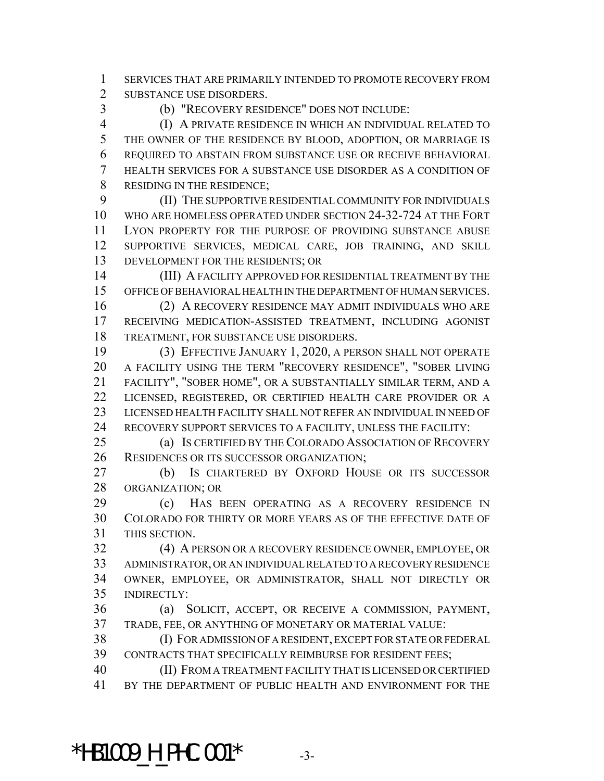SERVICES THAT ARE PRIMARILY INTENDED TO PROMOTE RECOVERY FROM SUBSTANCE USE DISORDERS.

(b) "RECOVERY RESIDENCE" DOES NOT INCLUDE:

 (I) A PRIVATE RESIDENCE IN WHICH AN INDIVIDUAL RELATED TO THE OWNER OF THE RESIDENCE BY BLOOD, ADOPTION, OR MARRIAGE IS REQUIRED TO ABSTAIN FROM SUBSTANCE USE OR RECEIVE BEHAVIORAL HEALTH SERVICES FOR A SUBSTANCE USE DISORDER AS A CONDITION OF 8 RESIDING IN THE RESIDENCE;

 (II) THE SUPPORTIVE RESIDENTIAL COMMUNITY FOR INDIVIDUALS WHO ARE HOMELESS OPERATED UNDER SECTION 24-32-724 AT THE FORT LYON PROPERTY FOR THE PURPOSE OF PROVIDING SUBSTANCE ABUSE SUPPORTIVE SERVICES, MEDICAL CARE, JOB TRAINING, AND SKILL DEVELOPMENT FOR THE RESIDENTS; OR

 (III) A FACILITY APPROVED FOR RESIDENTIAL TREATMENT BY THE OFFICE OF BEHAVIORAL HEALTH IN THE DEPARTMENT OF HUMAN SERVICES.

 (2) A RECOVERY RESIDENCE MAY ADMIT INDIVIDUALS WHO ARE RECEIVING MEDICATION-ASSISTED TREATMENT, INCLUDING AGONIST TREATMENT, FOR SUBSTANCE USE DISORDERS.

 (3) EFFECTIVE JANUARY 1, 2020, A PERSON SHALL NOT OPERATE A FACILITY USING THE TERM "RECOVERY RESIDENCE", "SOBER LIVING FACILITY", "SOBER HOME", OR A SUBSTANTIALLY SIMILAR TERM, AND A LICENSED, REGISTERED, OR CERTIFIED HEALTH CARE PROVIDER OR A LICENSED HEALTH FACILITY SHALL NOT REFER AN INDIVIDUAL IN NEED OF RECOVERY SUPPORT SERVICES TO A FACILITY, UNLESS THE FACILITY:

 (a) IS CERTIFIED BY THE COLORADO ASSOCIATION OF RECOVERY RESIDENCES OR ITS SUCCESSOR ORGANIZATION;

 (b) IS CHARTERED BY OXFORD HOUSE OR ITS SUCCESSOR ORGANIZATION; OR

 (c) HAS BEEN OPERATING AS A RECOVERY RESIDENCE IN COLORADO FOR THIRTY OR MORE YEARS AS OF THE EFFECTIVE DATE OF THIS SECTION.

 (4) A PERSON OR A RECOVERY RESIDENCE OWNER, EMPLOYEE, OR ADMINISTRATOR, OR AN INDIVIDUAL RELATED TO A RECOVERY RESIDENCE OWNER, EMPLOYEE, OR ADMINISTRATOR, SHALL NOT DIRECTLY OR INDIRECTLY:

 (a) SOLICIT, ACCEPT, OR RECEIVE A COMMISSION, PAYMENT, TRADE, FEE, OR ANYTHING OF MONETARY OR MATERIAL VALUE:

 (I) FOR ADMISSION OF A RESIDENT, EXCEPT FOR STATE OR FEDERAL CONTRACTS THAT SPECIFICALLY REIMBURSE FOR RESIDENT FEES;

 (II) FROM A TREATMENT FACILITY THAT IS LICENSED OR CERTIFIED BY THE DEPARTMENT OF PUBLIC HEALTH AND ENVIRONMENT FOR THE

\*HB1009 H PHC.001\*  $-3$ -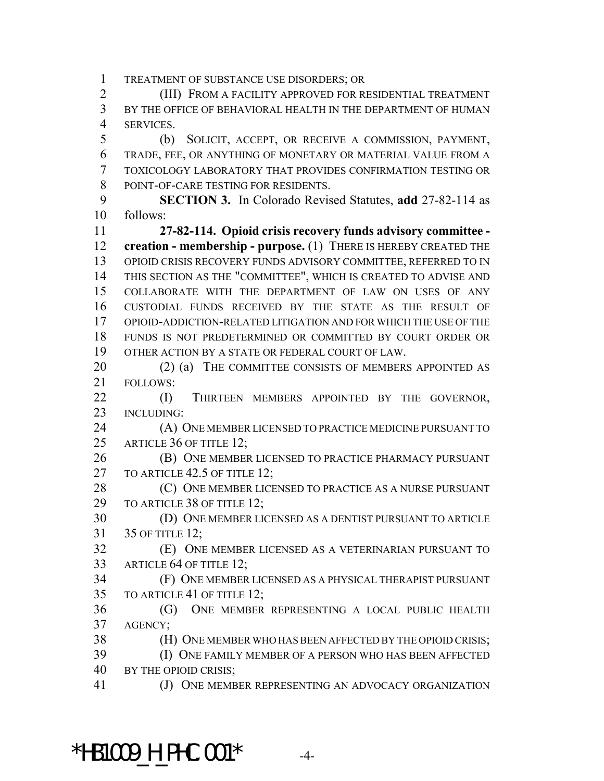TREATMENT OF SUBSTANCE USE DISORDERS; OR

 (III) FROM A FACILITY APPROVED FOR RESIDENTIAL TREATMENT BY THE OFFICE OF BEHAVIORAL HEALTH IN THE DEPARTMENT OF HUMAN SERVICES.

 (b) SOLICIT, ACCEPT, OR RECEIVE A COMMISSION, PAYMENT, TRADE, FEE, OR ANYTHING OF MONETARY OR MATERIAL VALUE FROM A TOXICOLOGY LABORATORY THAT PROVIDES CONFIRMATION TESTING OR POINT-OF-CARE TESTING FOR RESIDENTS.

 **SECTION 3.** In Colorado Revised Statutes, **add** 27-82-114 as follows:

 **27-82-114. Opioid crisis recovery funds advisory committee - creation - membership - purpose.** (1) THERE IS HEREBY CREATED THE OPIOID CRISIS RECOVERY FUNDS ADVISORY COMMITTEE, REFERRED TO IN THIS SECTION AS THE "COMMITTEE", WHICH IS CREATED TO ADVISE AND COLLABORATE WITH THE DEPARTMENT OF LAW ON USES OF ANY CUSTODIAL FUNDS RECEIVED BY THE STATE AS THE RESULT OF OPIOID-ADDICTION-RELATED LITIGATION AND FOR WHICH THE USE OF THE FUNDS IS NOT PREDETERMINED OR COMMITTED BY COURT ORDER OR OTHER ACTION BY A STATE OR FEDERAL COURT OF LAW.

20 (2) (a) THE COMMITTEE CONSISTS OF MEMBERS APPOINTED AS FOLLOWS:

**(I)** THIRTEEN MEMBERS APPOINTED BY THE GOVERNOR, INCLUDING:

 (A) ONE MEMBER LICENSED TO PRACTICE MEDICINE PURSUANT TO 25 ARTICLE 36 OF TITLE 12;

 (B) ONE MEMBER LICENSED TO PRACTICE PHARMACY PURSUANT 27 TO ARTICLE 42.5 OF TITLE 12;

**(C)** ONE MEMBER LICENSED TO PRACTICE AS A NURSE PURSUANT 29 TO ARTICLE 38 OF TITLE 12;

 (D) ONE MEMBER LICENSED AS A DENTIST PURSUANT TO ARTICLE 35 OF TITLE 12;

 (E) ONE MEMBER LICENSED AS A VETERINARIAN PURSUANT TO ARTICLE 64 OF TITLE 12;

 (F) ONE MEMBER LICENSED AS A PHYSICAL THERAPIST PURSUANT TO ARTICLE 41 OF TITLE 12;

 (G) ONE MEMBER REPRESENTING A LOCAL PUBLIC HEALTH AGENCY;

(H) ONE MEMBER WHO HAS BEEN AFFECTED BY THE OPIOID CRISIS;

 (I) ONE FAMILY MEMBER OF A PERSON WHO HAS BEEN AFFECTED BY THE OPIOID CRISIS;

41 (J) ONE MEMBER REPRESENTING AN ADVOCACY ORGANIZATION

 $*$ HB1009 H PHC.001 $*$  -4-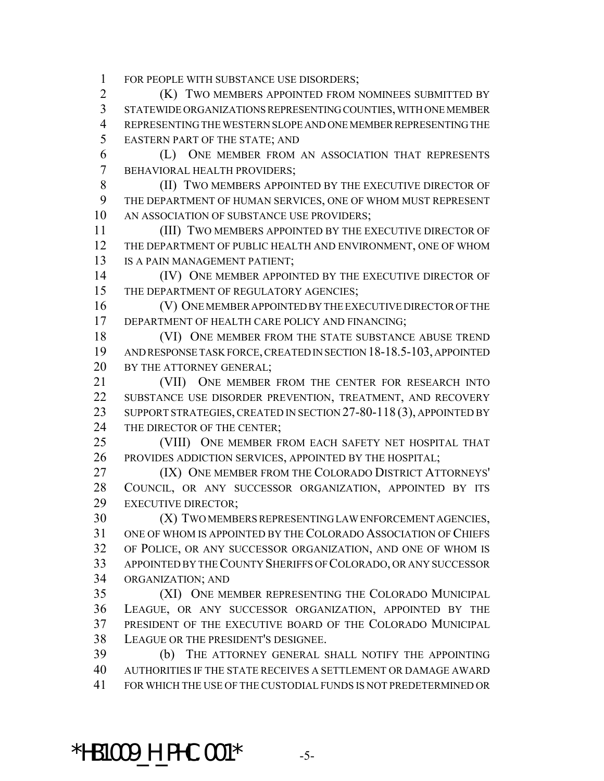FOR PEOPLE WITH SUBSTANCE USE DISORDERS;

**(K) TWO MEMBERS APPOINTED FROM NOMINEES SUBMITTED BY**  STATEWIDE ORGANIZATIONS REPRESENTING COUNTIES, WITH ONE MEMBER REPRESENTING THE WESTERN SLOPE AND ONE MEMBER REPRESENTING THE EASTERN PART OF THE STATE; AND

 (L) ONE MEMBER FROM AN ASSOCIATION THAT REPRESENTS BEHAVIORAL HEALTH PROVIDERS;

8 (II) TWO MEMBERS APPOINTED BY THE EXECUTIVE DIRECTOR OF THE DEPARTMENT OF HUMAN SERVICES, ONE OF WHOM MUST REPRESENT AN ASSOCIATION OF SUBSTANCE USE PROVIDERS;

 (III) TWO MEMBERS APPOINTED BY THE EXECUTIVE DIRECTOR OF THE DEPARTMENT OF PUBLIC HEALTH AND ENVIRONMENT, ONE OF WHOM 13 IS A PAIN MANAGEMENT PATIENT;

14 (IV) ONE MEMBER APPOINTED BY THE EXECUTIVE DIRECTOR OF 15 THE DEPARTMENT OF REGULATORY AGENCIES;

 (V) ONE MEMBER APPOINTED BY THE EXECUTIVE DIRECTOR OF THE 17 DEPARTMENT OF HEALTH CARE POLICY AND FINANCING;

18 (VI) ONE MEMBER FROM THE STATE SUBSTANCE ABUSE TREND AND RESPONSE TASK FORCE, CREATED IN SECTION 18-18.5-103, APPOINTED 20 BY THE ATTORNEY GENERAL;

 (VII) ONE MEMBER FROM THE CENTER FOR RESEARCH INTO SUBSTANCE USE DISORDER PREVENTION, TREATMENT, AND RECOVERY 23 SUPPORT STRATEGIES, CREATED IN SECTION 27-80-118 (3), APPOINTED BY 24 THE DIRECTOR OF THE CENTER;

 (VIII) ONE MEMBER FROM EACH SAFETY NET HOSPITAL THAT PROVIDES ADDICTION SERVICES, APPOINTED BY THE HOSPITAL;

**(IX) ONE MEMBER FROM THE COLORADO DISTRICT ATTORNEYS'**  COUNCIL, OR ANY SUCCESSOR ORGANIZATION, APPOINTED BY ITS EXECUTIVE DIRECTOR;

 (X) TWO MEMBERS REPRESENTING LAW ENFORCEMENT AGENCIES, ONE OF WHOM IS APPOINTED BY THE COLORADO ASSOCIATION OF CHIEFS OF POLICE, OR ANY SUCCESSOR ORGANIZATION, AND ONE OF WHOM IS APPOINTED BY THE COUNTY SHERIFFS OF COLORADO, OR ANY SUCCESSOR ORGANIZATION; AND

 (XI) ONE MEMBER REPRESENTING THE COLORADO MUNICIPAL LEAGUE, OR ANY SUCCESSOR ORGANIZATION, APPOINTED BY THE PRESIDENT OF THE EXECUTIVE BOARD OF THE COLORADO MUNICIPAL LEAGUE OR THE PRESIDENT'S DESIGNEE.

 (b) THE ATTORNEY GENERAL SHALL NOTIFY THE APPOINTING AUTHORITIES IF THE STATE RECEIVES A SETTLEMENT OR DAMAGE AWARD FOR WHICH THE USE OF THE CUSTODIAL FUNDS IS NOT PREDETERMINED OR

\*HB1009 H PHC.001\*  $-5$ -